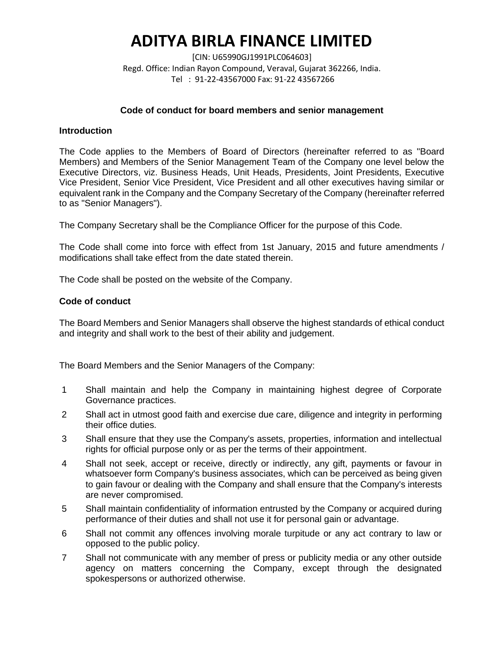[CIN: U65990GJ1991PLC064603] Regd. Office: Indian Rayon Compound, Veraval, Gujarat 362266, India. Tel : 91-22-43567000 Fax: 91-22 43567266

# **Code of conduct for board members and senior management**

#### **Introduction**

The Code applies to the Members of Board of Directors (hereinafter referred to as "Board Members) and Members of the Senior Management Team of the Company one level below the Executive Directors, viz. Business Heads, Unit Heads, Presidents, Joint Presidents, Executive Vice President, Senior Vice President, Vice President and all other executives having similar or equivalent rank in the Company and the Company Secretary of the Company (hereinafter referred to as "Senior Managers").

The Company Secretary shall be the Compliance Officer for the purpose of this Code.

The Code shall come into force with effect from 1st January, 2015 and future amendments / modifications shall take effect from the date stated therein.

The Code shall be posted on the website of the Company.

#### **Code of conduct**

The Board Members and Senior Managers shall observe the highest standards of ethical conduct and integrity and shall work to the best of their ability and judgement.

The Board Members and the Senior Managers of the Company:

- 1 Shall maintain and help the Company in maintaining highest degree of Corporate Governance practices.
- 2 Shall act in utmost good faith and exercise due care, diligence and integrity in performing their office duties.
- 3 Shall ensure that they use the Company's assets, properties, information and intellectual rights for official purpose only or as per the terms of their appointment.
- 4 Shall not seek, accept or receive, directly or indirectly, any gift, payments or favour in whatsoever form Company's business associates, which can be perceived as being given to gain favour or dealing with the Company and shall ensure that the Company's interests are never compromised.
- 5 Shall maintain confidentiality of information entrusted by the Company or acquired during performance of their duties and shall not use it for personal gain or advantage.
- 6 Shall not commit any offences involving morale turpitude or any act contrary to law or opposed to the public policy.
- 7 Shall not communicate with any member of press or publicity media or any other outside agency on matters concerning the Company, except through the designated spokespersons or authorized otherwise.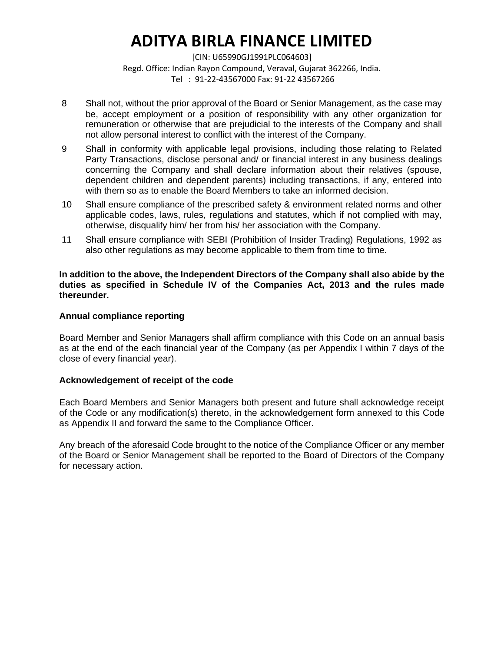[CIN: U65990GJ1991PLC064603] Regd. Office: Indian Rayon Compound, Veraval, Gujarat 362266, India. Tel : 91-22-43567000 Fax: 91-22 43567266

- 8 Shall not, without the prior approval of the Board or Senior Management, as the case may be, accept employment or a position of responsibility with any other organization for remuneration or otherwise that are prejudicial to the interests of the Company and shall not allow personal interest to conflict with the interest of the Company.
- 9 Shall in conformity with applicable legal provisions, including those relating to Related Party Transactions, disclose personal and/ or financial interest in any business dealings concerning the Company and shall declare information about their relatives (spouse, dependent children and dependent parents) including transactions, if any, entered into with them so as to enable the Board Members to take an informed decision.
- 10 Shall ensure compliance of the prescribed safety & environment related norms and other applicable codes, laws, rules, regulations and statutes, which if not complied with may, otherwise, disqualify him/ her from his/ her association with the Company.
- 11 Shall ensure compliance with SEBI (Prohibition of Insider Trading) Regulations, 1992 as also other regulations as may become applicable to them from time to time.

#### **In addition to the above, the Independent Directors of the Company shall also abide by the duties as specified in Schedule IV of the Companies Act, 2013 and the rules made thereunder.**

# **Annual compliance reporting**

Board Member and Senior Managers shall affirm compliance with this Code on an annual basis as at the end of the each financial year of the Company (as per Appendix I within 7 days of the close of every financial year).

#### **Acknowledgement of receipt of the code**

Each Board Members and Senior Managers both present and future shall acknowledge receipt of the Code or any modification(s) thereto, in the acknowledgement form annexed to this Code as Appendix II and forward the same to the Compliance Officer.

Any breach of the aforesaid Code brought to the notice of the Compliance Officer or any member of the Board or Senior Management shall be reported to the Board of Directors of the Company for necessary action.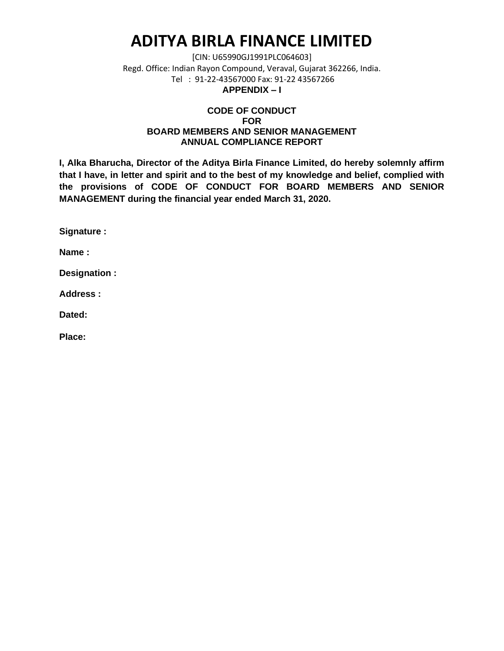[CIN: U65990GJ1991PLC064603] Regd. Office: Indian Rayon Compound, Veraval, Gujarat 362266, India. Tel : 91-22-43567000 Fax: 91-22 43567266 **APPENDIX – I**

# **CODE OF CONDUCT FOR BOARD MEMBERS AND SENIOR MANAGEMENT ANNUAL COMPLIANCE REPORT**

**I, Alka Bharucha, Director of the Aditya Birla Finance Limited, do hereby solemnly affirm that I have, in letter and spirit and to the best of my knowledge and belief, complied with the provisions of CODE OF CONDUCT FOR BOARD MEMBERS AND SENIOR MANAGEMENT during the financial year ended March 31, 2020.**

**Signature :**

**Name :**

**Designation :**

**Address :**

**Dated:**

**Place:**